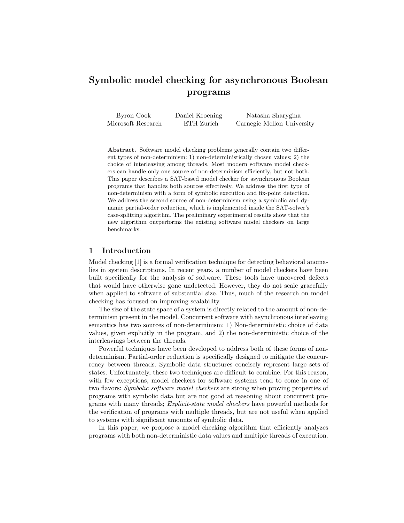# Symbolic model checking for asynchronous Boolean programs

| Daniel Kroening<br>Byron Cook |            | Natasha Sharygina          |  |  |
|-------------------------------|------------|----------------------------|--|--|
| Microsoft Research            | ETH Zurich | Carnegie Mellon University |  |  |

Abstract. Software model checking problems generally contain two different types of non-determinism: 1) non-deterministically chosen values; 2) the choice of interleaving among threads. Most modern software model checkers can handle only one source of non-determinism efficiently, but not both. This paper describes a SAT-based model checker for asynchronous Boolean programs that handles both sources effectively. We address the first type of non-determinism with a form of symbolic execution and fix-point detection. We address the second source of non-determinism using a symbolic and dynamic partial-order reduction, which is implemented inside the SAT-solver's case-splitting algorithm. The preliminary experimental results show that the new algorithm outperforms the existing software model checkers on large benchmarks.

# 1 Introduction

Model checking [1] is a formal verification technique for detecting behavioral anomalies in system descriptions. In recent years, a number of model checkers have been built specifically for the analysis of software. These tools have uncovered defects that would have otherwise gone undetected. However, they do not scale gracefully when applied to software of substantial size. Thus, much of the research on model checking has focused on improving scalability.

The size of the state space of a system is directly related to the amount of non-determinism present in the model. Concurrent software with asynchronous interleaving semantics has two sources of non-determinism: 1) Non-deterministic choice of data values, given explicitly in the program, and 2) the non-deterministic choice of the interleavings between the threads.

Powerful techniques have been developed to address both of these forms of nondeterminism. Partial-order reduction is specifically designed to mitigate the concurrency between threads. Symbolic data structures concisely represent large sets of states. Unfortunately, these two techniques are difficult to combine. For this reason, with few exceptions, model checkers for software systems tend to come in one of two flavors: Symbolic software model checkers are strong when proving properties of programs with symbolic data but are not good at reasoning about concurrent programs with many threads; Explicit-state model checkers have powerful methods for the verification of programs with multiple threads, but are not useful when applied to systems with significant amounts of symbolic data.

In this paper, we propose a model checking algorithm that efficiently analyzes programs with both non-deterministic data values and multiple threads of execution.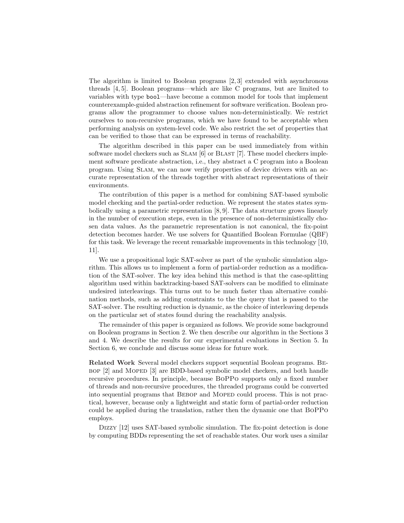The algorithm is limited to Boolean programs [2, 3] extended with asynchronous threads [4, 5]. Boolean programs—which are like C programs, but are limited to variables with type bool—have become a common model for tools that implement counterexample-guided abstraction refinement for software verification. Boolean programs allow the programmer to choose values non-deterministically. We restrict ourselves to non-recursive programs, which we have found to be acceptable when performing analysis on system-level code. We also restrict the set of properties that can be verified to those that can be expressed in terms of reachability.

The algorithm described in this paper can be used immediately from within software model checkers such as Slam [6] or Blast [7]. These model checkers implement software predicate abstraction, i.e., they abstract a C program into a Boolean program. Using Slam, we can now verify properties of device drivers with an accurate representation of the threads together with abstract representations of their environments.

The contribution of this paper is a method for combining SAT-based symbolic model checking and the partial-order reduction. We represent the states states symbolically using a parametric representation [8, 9]. The data structure grows linearly in the number of execution steps, even in the presence of non-deterministically chosen data values. As the parametric representation is not canonical, the fix-point detection becomes harder. We use solvers for Quantified Boolean Formulae (QBF) for this task. We leverage the recent remarkable improvements in this technology [10, 11].

We use a propositional logic SAT-solver as part of the symbolic simulation algorithm. This allows us to implement a form of partial-order reduction as a modification of the SAT-solver. The key idea behind this method is that the case-splitting algorithm used within backtracking-based SAT-solvers can be modified to eliminate undesired interleavings. This turns out to be much faster than alternative combination methods, such as adding constraints to the the query that is passed to the SAT-solver. The resulting reduction is dynamic, as the choice of interleaving depends on the particular set of states found during the reachability analysis.

The remainder of this paper is organized as follows. We provide some background on Boolean programs in Section 2. We then describe our algorithm in the Sections 3 and 4. We describe the results for our experimental evaluations in Section 5. In Section 6, we conclude and discuss some ideas for future work.

Related Work Several model checkers support sequential Boolean programs. Bebop [2] and Moped [3] are BDD-based symbolic model checkers, and both handle recursive procedures. In principle, because BoPPo supports only a fixed number of threads and non-recursive procedures, the threaded programs could be converted into sequential programs that BEBOP and MOPED could process. This is not practical, however, because only a lightweight and static form of partial-order reduction could be applied during the translation, rather then the dynamic one that BoPPo employs.

Dizzy [12] uses SAT-based symbolic simulation. The fix-point detection is done by computing BDDs representing the set of reachable states. Our work uses a similar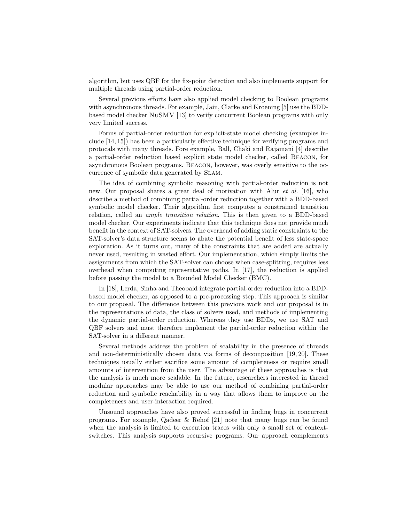algorithm, but uses QBF for the fix-point detection and also implements support for multiple threads using partial-order reduction.

Several previous efforts have also applied model checking to Boolean programs with asynchronous threads. For example, Jain, Clarke and Kroening [5] use the BDDbased model checker NuSMV [13] to verify concurrent Boolean programs with only very limited success.

Forms of partial-order reduction for explicit-state model checking (examples include [14, 15]) has been a particularly effective technique for verifying programs and protocals with many threads. Fore example, Ball, Chaki and Rajamani [4] describe a partial-order reduction based explicit state model checker, called Beacon, for asynchronous Boolean programs. Beacon, however, was overly sensitive to the occurrence of symbolic data generated by Slam.

The idea of combining symbolic reasoning with partial-order reduction is not new. Our proposal shares a great deal of motivation with Alur et al. [16], who describe a method of combining partial-order reduction together with a BDD-based symbolic model checker. Their algorithm first computes a constrained transition relation, called an ample transition relation. This is then given to a BDD-based model checker. Our experiments indicate that this technique does not provide much benefit in the context of SAT-solvers. The overhead of adding static constraints to the SAT-solver's data structure seems to abate the potential benefit of less state-space exploration. As it turns out, many of the constraints that are added are actually never used, resulting in wasted effort. Our implementation, which simply limits the assignments from which the SAT-solver can choose when case-splitting, requires less overhead when computing representative paths. In [17], the reduction is applied before passing the model to a Bounded Model Checker (BMC).

In [18], Lerda, Sinha and Theobald integrate partial-order reduction into a BDDbased model checker, as opposed to a pre-processing step. This approach is similar to our proposal. The difference between this previous work and our proposal is in the representations of data, the class of solvers used, and methods of implementing the dynamic partial-order reduction. Whereas they use BDDs, we use SAT and QBF solvers and must therefore implement the partial-order reduction within the SAT-solver in a different manner.

Several methods address the problem of scalability in the presence of threads and non-deterministically chosen data via forms of decomposition [19, 20]. These techniques usually either sacrifice some amount of completeness or require small amounts of intervention from the user. The advantage of these approaches is that the analysis is much more scalable. In the future, researchers interested in thread modular approaches may be able to use our method of combining partial-order reduction and symbolic reachability in a way that allows them to improve on the completeness and user-interaction required.

Unsound approaches have also proved successful in finding bugs in concurrent programs. For example, Qadeer & Rehof [21] note that many bugs can be found when the analysis is limited to execution traces with only a small set of contextswitches. This analysis supports recursive programs. Our approach complements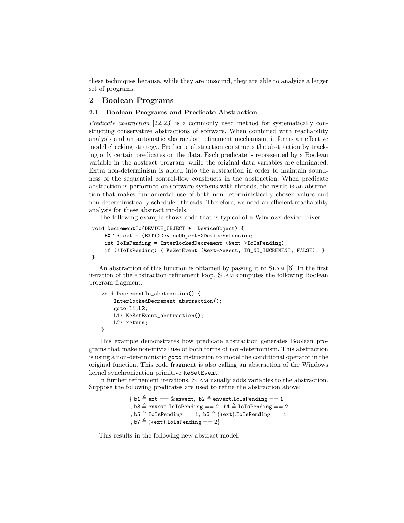these techniques because, while they are unsound, they are able to analyize a larger set of programs.

# 2 Boolean Programs

### 2.1 Boolean Programs and Predicate Abstraction

Predicate abstraction [22, 23] is a commonly used method for systematically constructing conservative abstractions of software. When combined with reachability analysis and an automatic abstraction refinement mechanism, it forms an effective model checking strategy. Predicate abstraction constructs the abstraction by tracking only certain predicates on the data. Each predicate is represented by a Boolean variable in the abstract program, while the original data variables are eliminated. Extra non-determinism is added into the abstraction in order to maintain soundness of the sequential control-flow constructs in the abstraction. When predicate abstraction is performed on software systems with threads, the result is an abstraction that makes fundamental use of both non-deterministically chosen values and non-deterministically scheduled threads. Therefore, we need an efficient reachability analysis for these abstract models.

The following example shows code that is typical of a Windows device driver:

```
void DecrementIo(DEVICE_OBJECT * DeviceObject) {
   EXT * ext = (EXT*)DeviceObject->DeviceExtension;
    int IoIsPending = InterlockedDecrement (&ext->IoIsPending);
    if (!IoIsPending) { KeSetEvent (&ext->event, IO_NO_INCREMENT, FALSE); }
}
```
An abstraction of this function is obtained by passing it to Slam [6]. In the first iteration of the abstraction refinement loop, Slam computes the following Boolean program fragment:

```
void DecrementIo_abstraction() {
   InterlockedDecrement_abstraction();
   goto L1,L2;
   L1: KeSetEvent_abstraction();
   L2: return;
}
```
This example demonstrates how predicate abstraction generates Boolean programs that make non-trivial use of both forms of non-determinism. This abstraction is using a non-deterministic goto instruction to model the conditional operator in the original function. This code fragment is also calling an abstraction of the Windows kernel synchronization primitive KeSetEvent.

In further refinement iterations, Slam usually adds variables to the abstraction. Suppose the following predicates are used to refine the abstraction above:

> { b1  $\triangleq$  ext ==  $\&$ envext, b2  $\triangleq$  envext.IoIsPending == 1 , b3  $\triangleq$  envext.IoIsPending == 2, b4  $\triangleq$  IoIsPending == 2 ,  $b5 \triangleq$  IoIsPending == 1,  $b6 \triangleq$  (\*ext).IoIsPending == 1 , b7 $\triangleq$  (\*ext).IoIsPending == 2}

This results in the following new abstract model: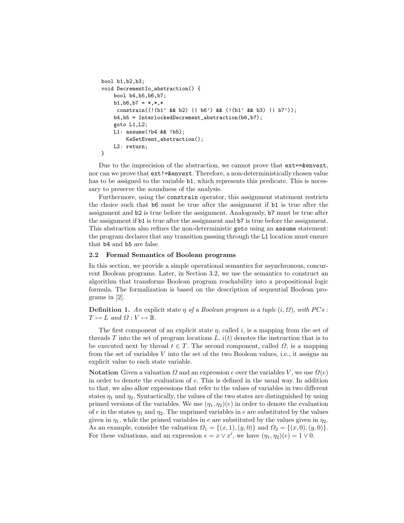```
bool b1,b2,b3;
void DecrementIo_abstraction() {
   bool b4,b5,b6,b7;
   b1, b6, b7 = *, *, *constrain((!(b1' && b2) || b6') && (!(b1' && b3) || b7'));
   b4,b5 = InterlockedDecrement_abstraction(b6,b7);
   goto L1,L2;
   L1: assume(!b4 && !b5);
        KeSetEvent_abstraction();
   L2: return;
}
```
Due to the imprecision of the abstraction, we cannot prove that  $ext{=&envext}$ , nor can we prove that  $ext$ !=  $k$ envext. Therefore, a non-deterministically chosen value has to be assigned to the variable  $b1$ , which represents this predicate. This is necessary to preserve the soundness of the analysis.

Furthermore, using the constrain operator, this assignment statement restricts the choice such that b6 must be true after the assignment if b1 is true after the assignment and b2 is true before the assignment. Analogously, b7 must be true after the assignment if b1 is true after the assignment and b7 is true before the assignment. This abstraction also refines the non-deterministic goto using an assume statement: the program declares that any transition passing through the L1 location must ensure that b4 and b5 are false.

## 2.2 Formal Semantics of Boolean programs

In this section, we provide a simple operational semantics for asynchronous, concurrent Boolean programs. Later, in Section 3.2, we use the semantics to construct an algorithm that transforms Boolean program reachability into a propositional logic formula. The formalization is based on the description of sequential Boolean programs in [2].

**Definition 1.** An explicit state  $\eta$  of a Boolean program is a tuple  $(i, \Omega)$ , with  $PCs$ :  $T \mapsto L$  and  $\Omega : V \mapsto \mathbb{B}$ .

The first component of an explicit state  $\eta$ , called i, is a mapping from the set of threads T into the set of program locations L.  $i(t)$  denotes the instruction that is to be executed next by thread  $t \in T$ . The second component, called  $\Omega$ , is a mapping from the set of variables  $V$  into the set of the two Boolean values, i.e., it assigns an explicit value to each state variable.

Notation Given a valuation  $\Omega$  and an expression e over the variables V, we use  $\Omega(e)$ in order to denote the evaluation of e. This is defined in the usual way. In addition to that, we also allow expressions that refer to the values of variables in two different states  $\eta_1$  and  $\eta_2$ . Syntactically, the values of the two states are distinguished by using primed versions of the variables. We use  $(\eta_1, \eta_2)(e)$  in order to denote the evaluation of e in the states  $\eta_1$  and  $\eta_2$ . The unprimed variables in e are substituted by the values given in  $\eta_1$ , while the primed variables in e are substituted by the values given in  $\eta_2$ . As an example, consider the valuation  $\Omega_1 = \{(x, 1), (y, 0)\}\$  and  $\Omega_2 = \{(x, 0), (y, 0)\}.$ For these valuations, and an expression  $e = x \vee x'$ , we have  $(\eta_1, \eta_2)(e) = 1 \vee 0$ .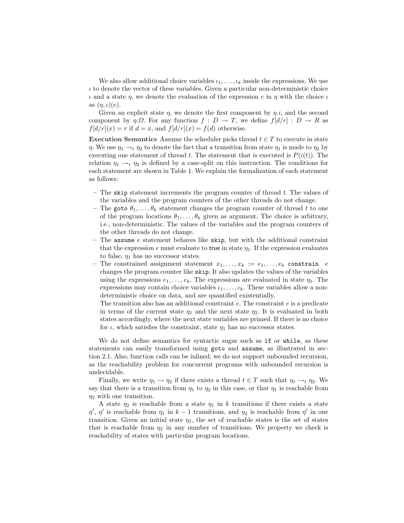We also allow additional choice variables  $i_1, \ldots, i_k$  inside the expressions. We use  $\iota$  to denote the vector of these variables. Given a particular non-deterministic choice ι and a state η, we denote the evaluation of the expression e in η with the choice ι as  $(\eta, \iota)(e)$ .

Given an explicit state  $\eta$ , we denote the first component by  $\eta.i$ , and the second component by  $\eta.\Omega$ . For any function  $f: D \to T$ , we define  $f[d/r] : D \to R$  as  $f[d/r](x) = r$  if  $d = x$ , and  $f[d/r](x) = f(d)$  otherwise.

Execution Semantics Assume the scheduler picks thread  $t \in T$  to execute in state  $\eta$ . We use  $\eta_1 \to_t \eta_2$  to denote the fact that a transition from state  $\eta_1$  is made to  $\eta_2$  by executing one statement of thread t. The statement that is executed is  $P(i(t))$ . The relation  $\eta_1 \to_t \eta_2$  is defined by a case-split on this instruction. The conditions for each statement are shown in Table 1. We explain the formalization of each statement as follows:

- $-$  The skip statement increments the program counter of thread t. The values of the variables and the program counters of the other threads do not change.
- The goto  $\theta_1, \ldots, \theta_k$  statement changes the program counter of thread t to one of the program locations  $\theta_1, \ldots, \theta_k$  given as argument. The choice is arbitrary, i.e., non-deterministic. The values of the variables and the program counters of the other threads do not change.
- The assume e statement behaves like skip, but with the additional constraint that the expression e must evaluate to true in state  $\eta_1$ . If the expression evaluates to false,  $\eta_1$  has no successor states.
- The constrained assignment statement  $x_1, \ldots, x_k := e_1, \ldots, e_k$  constrain e changes the program counter like skip. It also updates the values of the variables using the expressions  $e_1, \ldots, e_k$ . The expressions are evaluated in state  $\eta_1$ . The expressions may contain choice variables  $\iota_1, \ldots, \iota_k$ . These variables allow a nondeterministic choice on data, and are quantified existentially.

The transition also has an additional constraint  $e$ . The constraint  $e$  is a predicate in terms of the current state  $\eta_1$  and the next state  $\eta_2$ . It is evaluated in both states accordingly, where the next state variables are primed. If there is no choice for  $\iota$ , which satisfies the constraint, state  $\eta_1$  has no successor states.

We do not define semantics for syntactic sugar such as if or while, as these statements can easily transformed using goto and assume, as illustrated in section 2.1. Also, function calls can be inlined; we do not support unbounded recursion, as the reachability problem for concurrent programs with unbounded recursion is undecidable.

Finally, we write  $\eta_1 \to \eta_2$  if there exists a thread  $t \in T$  such that  $\eta_1 \to_t \eta_2$ . We say that there is a transition from  $\eta_1$  to  $\eta_2$  in this case, or that  $\eta_1$  is reachable from  $\eta_2$  with one transition.

A state  $\eta_2$  is reachable from a state  $\eta_1$  in k transitions if there exists a state  $\eta'$ ,  $\eta'$  is reachable from  $\eta_1$  in  $k-1$  transitions, and  $\eta_2$  is reachable from  $\eta'$  in one transition. Given an initial state  $\eta_I$ , the set of reachable states is the set of states that is reachable from  $\eta_I$  in any number of transitions. We property we check is reachability of states with particular program locations.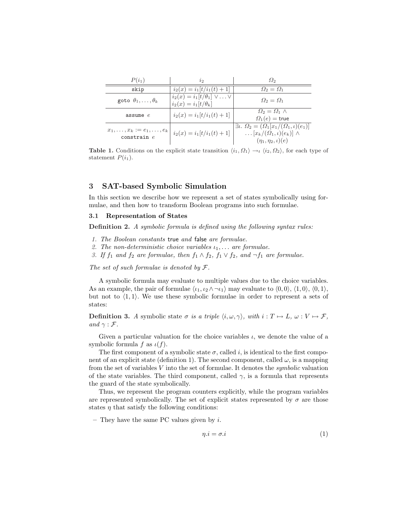| $P(i_1)$                                         | $\overline{i}$                                                            | $\Omega_{2}$                                                                                                                                       |  |  |
|--------------------------------------------------|---------------------------------------------------------------------------|----------------------------------------------------------------------------------------------------------------------------------------------------|--|--|
| skip                                             | $i_2(x) = i_1[t/i_1(t) + 1]$                                              | $\Omega_2 = \Omega_1$                                                                                                                              |  |  |
| goto $\theta_1, \ldots, \theta_k$                | $i_2(x) = i_1[t/\theta_1] \vee \ldots \vee$<br>$i_2(x) = i_1[t/\theta_k]$ | $\Omega_2 = \Omega_1$                                                                                                                              |  |  |
| assume $e$                                       | $i_2(x) = i_1[t/i_1(t) + 1]$                                              | $\Omega_2 = \Omega_1 \wedge$<br>$\Omega_1(e)$ = true                                                                                               |  |  |
| $x_1,\ldots,x_k:=e_1,\ldots,e_k$<br>constraint e | $i_2(x) = i_1[t/i_1(t) + 1]$                                              | $\exists \iota$ , $\Omega_2 = (\Omega_1[x_1/(\Omega_1, \iota)(e_1))]$<br>$\ldots [x_k/(\Omega_1,\iota)(e_k)] \wedge$<br>$(\eta_1,\eta_2,\iota)(e)$ |  |  |

**Table 1.** Conditions on the explicit state transition  $\langle i_1, \Omega_1 \rangle \rightarrow_t \langle i_2, \Omega_2 \rangle$ , for each type of statement  $P(i_1)$ .

# 3 SAT-based Symbolic Simulation

In this section we describe how we represent a set of states symbolically using formulae, and then how to transform Boolean programs into such formulae.

## 3.1 Representation of States

Definition 2. A symbolic formula is defined using the following syntax rules:

- 1. The Boolean constants true and false are formulae.
- 2. The non-deterministic choice variables  $\iota_1, \ldots$  are formulae.
- 3. If  $f_1$  and  $f_2$  are formulae, then  $f_1 \wedge f_2$ ,  $f_1 \vee f_2$ , and  $\neg f_1$  are formulae.

The set of such formulae is denoted by  $\mathcal{F}.$ 

A symbolic formula may evaluate to multiple values due to the choice variables. As an example, the pair of formulae  $\langle \iota_1, \iota_2 \wedge \iota_1 \rangle$  may evaluate to  $\langle 0, 0 \rangle$ ,  $\langle 1, 0 \rangle$ ,  $\langle 0, 1 \rangle$ , but not to  $\langle 1, 1 \rangle$ . We use these symbolic formulae in order to represent a sets of states:

**Definition 3.** A symbolic state  $\sigma$  is a triple  $\langle i, \omega, \gamma \rangle$ , with  $i : T \mapsto L$ ,  $\omega : V \mapsto \mathcal{F}$ , and  $\gamma$  :  $\mathcal{F}$ .

Given a particular valuation for the choice variables  $\iota$ , we denote the value of a symbolic formula f as  $\iota(f)$ .

The first component of a symbolic state  $\sigma$ , called i, is identical to the first component of an explicit state (definition 1). The second component, called  $\omega$ , is a mapping from the set of variables V into the set of formulae. It denotes the symbolic valuation of the state variables. The third component, called  $\gamma$ , is a formula that represents the guard of the state symbolically.

Thus, we represent the program counters explicitly, while the program variables are represented symbolically. The set of explicit states represented by  $\sigma$  are those states  $\eta$  that satisfy the following conditions:

– They have the same PC values given by  $i$ .

$$
\eta.i = \sigma.i \tag{1}
$$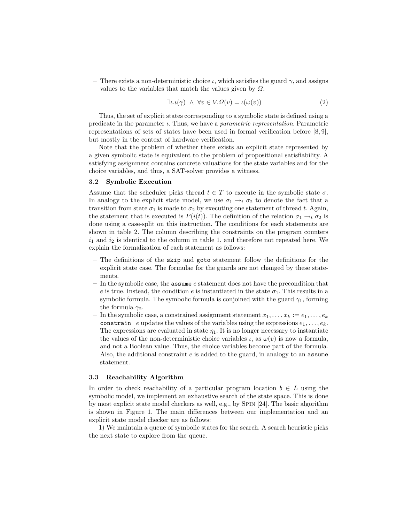– There exists a non-deterministic choice  $\iota$ , which satisfies the guard  $\gamma$ , and assigns values to the variables that match the values given by  $\Omega$ .

$$
\exists \iota \, \iota(\gamma) \ \land \ \forall v \in V. \Omega(v) = \iota(\omega(v)) \tag{2}
$$

Thus, the set of explicit states corresponding to a symbolic state is defined using a predicate in the parameter  $\iota$ . Thus, we have a *parametric representation*. Parametric representations of sets of states have been used in formal verification before  $[8, 9]$ , but mostly in the context of hardware verification.

Note that the problem of whether there exists an explicit state represented by a given symbolic state is equivalent to the problem of propositional satisfiability. A satisfying assignment contains concrete valuations for the state variables and for the choice variables, and thus, a SAT-solver provides a witness.

#### 3.2 Symbolic Execution

Assume that the scheduler picks thread  $t \in T$  to execute in the symbolic state  $\sigma$ . In analogy to the explicit state model, we use  $\sigma_1 \rightarrow_t \sigma_2$  to denote the fact that a transition from state  $\sigma_1$  is made to  $\sigma_2$  by executing one statement of thread t. Again, the statement that is executed is  $P(i(t))$ . The definition of the relation  $\sigma_1 \rightarrow_t \sigma_2$  is done using a case-split on this instruction. The conditions for each statements are shown in table 2. The column describing the constraints on the program counters  $i_1$  and  $i_2$  is identical to the column in table 1, and therefore not repeated here. We explain the formalization of each statement as follows:

- The definitions of the skip and goto statement follow the definitions for the explicit state case. The formulae for the guards are not changed by these statements.
- $-$  In the symbolic case, the **assume** e statement does not have the precondition that e is true. Instead, the condition e is instantiated in the state  $\sigma_1$ . This results in a symbolic formula. The symbolic formula is conjoined with the guard  $\gamma_1$ , forming the formula  $\gamma_2$ .
- In the symbolic case, a constrained assignment statement  $x_1, \ldots, x_k := e_1, \ldots, e_k$ constrain e updates the values of the variables using the expressions  $e_1, \ldots, e_k$ . The expressions are evaluated in state  $\eta_1$ . It is no longer necessary to instantiate the values of the non-deterministic choice variables  $\iota$ , as  $\omega(v)$  is now a formula, and not a Boolean value. Thus, the choice variables become part of the formula. Also, the additional constraint  $e$  is added to the guard, in analogy to an assume statement.

#### 3.3 Reachability Algorithm

In order to check reachability of a particular program location  $b \in L$  using the symbolic model, we implement an exhaustive search of the state space. This is done by most explicit state model checkers as well, e.g., by Spin [24]. The basic algorithm is shown in Figure 1. The main differences between our implementation and an explicit state model checker are as follows:

1) We maintain a queue of symbolic states for the search. A search heuristic picks the next state to explore from the queue.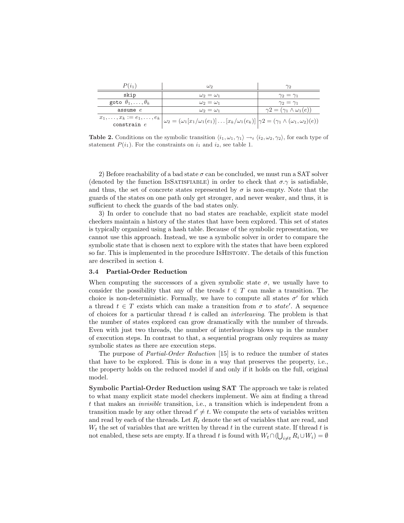| $P(i_1)$                                                | $\omega_2$                                                                                                                 | $\gamma_2$                                 |  |
|---------------------------------------------------------|----------------------------------------------------------------------------------------------------------------------------|--------------------------------------------|--|
| skip                                                    | $\omega_2 = \omega_1$                                                                                                      | $\gamma_2 = \gamma_1$                      |  |
| goto $\theta_1, \ldots, \theta_k$                       | $\omega_2 = \omega_1$                                                                                                      | $\gamma_2=\gamma_1$                        |  |
| assume $e$                                              | $\omega_2=\omega_1$                                                                                                        | $\gamma 2 = (\gamma_1 \wedge \omega_1(e))$ |  |
| $x_1, \ldots, x_k := e_1, \ldots, e_k$<br>$\cos \theta$ | $ \omega_2 = (\omega_1[x_1/\omega_1(e_1)] \dots [x_k/\omega_1(e_k)]  \gamma_2 = (\gamma_1 \wedge (\omega_1, \omega_2)(e))$ |                                            |  |

**Table 2.** Conditions on the symbolic transition  $\langle i_1, \omega_1, \gamma_1 \rangle \rightarrow_t \langle i_2, \omega_2, \gamma_2 \rangle$ , for each type of statement  $P(i_1)$ . For the constraints on  $i_1$  and  $i_2$ , see table 1.

2) Before reachability of a bad state  $\sigma$  can be concluded, we must run a SAT solver (denoted by the function ISSATISFIABLE) in order to check that  $\sigma.\gamma$  is satisfiable, and thus, the set of concrete states represented by  $\sigma$  is non-empty. Note that the guards of the states on one path only get stronger, and never weaker, and thus, it is sufficient to check the guards of the bad states only.

3) In order to conclude that no bad states are reachable, explicit state model checkers maintain a history of the states that have been explored. This set of states is typically organized using a hash table. Because of the symbolic representation, we cannot use this approach. Instead, we use a symbolic solver in order to compare the symbolic state that is chosen next to explore with the states that have been explored so far. This is implemented in the procedure IsHistory. The details of this function are described in section 4.

## 3.4 Partial-Order Reduction

When computing the successors of a given symbolic state  $\sigma$ , we usually have to consider the possibility that any of the treads  $t \in T$  can make a transition. The choice is non-deterministic. Formally, we have to compute all states  $\sigma'$  for which a thread  $t \in T$  exists which can make a transition from  $\sigma$  to state'. A sequence of choices for a particular thread  $t$  is called an *interleaving*. The problem is that the number of states explored can grow dramatically with the number of threads. Even with just two threads, the number of interleavings blows up in the number of execution steps. In contrast to that, a sequential program only requires as many symbolic states as there are execution steps.

The purpose of Partial-Order Reduction [15] is to reduce the number of states that have to be explored. This is done in a way that preserves the property, i.e., the property holds on the reduced model if and only if it holds on the full, original model.

Symbolic Partial-Order Reduction using SAT The approach we take is related to what many explicit state model checkers implement. We aim at finding a thread t that makes an invisible transition, i.e., a transition which is independent from a transition made by any other thread  $t' \neq t$ . We compute the sets of variables written and read by each of the threads. Let  $R_t$  denote the set of variables that are read, and  $W_t$  the set of variables that are written by thread t in the current state. If thread t is not enabled, these sets are empty. If a thread t is found with  $W_t \cap (\bigcup_{i \neq t} R_i \cup W_i) = \emptyset$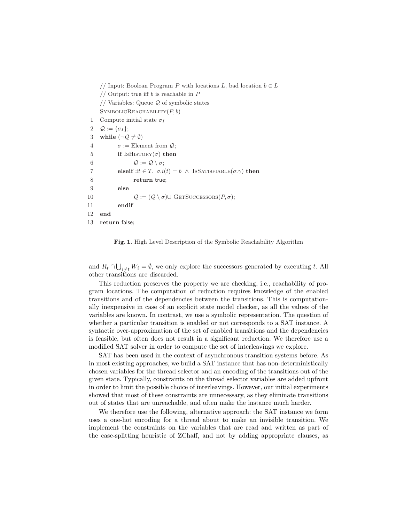```
// Input: Boolean Program P with locations L, bad location b \in L// Output: true iff b is reachable in P// Variables: Queue Q of symbolic states
    SYMBOLICREACHABILITY(P, b)1 Compute initial state \sigma_I2 Q := {\sigma_I};3 while (\neg Q \neq \emptyset)4 \sigma := Element from \mathcal{Q};5 if IsHISTORY(\sigma) then
6 Q := Q \setminus \sigma;7 elseif \exists t \in T. \sigma.i(t) = b \land \text{ISSATISFIABLE}(\sigma.\gamma) then
8 return true;
9 else
10 Q := (Q \setminus \sigma) \cup \text{GETSUCCESORS}(P, \sigma);11 endif
12 end
13 return false;
```
Fig. 1. High Level Description of the Symbolic Reachability Algorithm

and  $R_t \cap \bigcup_{i \neq t} W_i = \emptyset$ , we only explore the successors generated by executing t. All other transitions are discarded.

This reduction preserves the property we are checking, i.e., reachability of program locations. The computation of reduction requires knowledge of the enabled transitions and of the dependencies between the transitions. This is computationally inexpensive in case of an explicit state model checker, as all the values of the variables are known. In contrast, we use a symbolic representation. The question of whether a particular transition is enabled or not corresponds to a SAT instance. A syntactic over-approximation of the set of enabled transitions and the dependencies is feasible, but often does not result in a significant reduction. We therefore use a modified SAT solver in order to compute the set of interleavings we explore.

SAT has been used in the context of asynchronous transition systems before. As in most existing approaches, we build a SAT instance that has non-deterministically chosen variables for the thread selector and an encoding of the transitions out of the given state. Typically, constraints on the thread selector variables are added upfront in order to limit the possible choice of interleavings. However, our initial experiments showed that most of these constraints are unnecessary, as they eliminate transitions out of states that are unreachable, and often make the instance much harder.

We therefore use the following, alternative approach: the SAT instance we form uses a one-hot encoding for a thread about to make an invisible transition. We implement the constraints on the variables that are read and written as part of the case-splitting heuristic of ZChaff, and not by adding appropriate clauses, as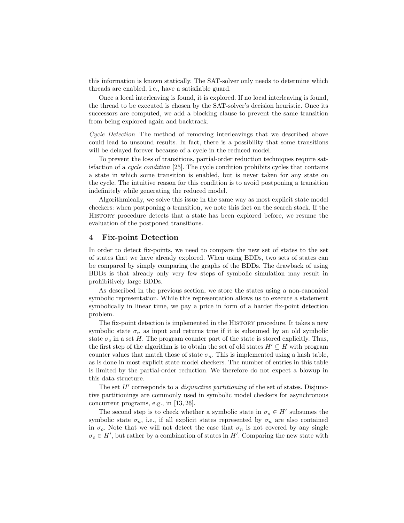this information is known statically. The SAT-solver only needs to determine which threads are enabled, i.e., have a satisfiable guard.

Once a local interleaving is found, it is explored. If no local interleaving is found, the thread to be executed is chosen by the SAT-solver's decision heuristic. Once its successors are computed, we add a blocking clause to prevent the same transition from being explored again and backtrack.

Cycle Detection The method of removing interleavings that we described above could lead to unsound results. In fact, there is a possibility that some transitions will be delayed forever because of a cycle in the reduced model.

To prevent the loss of transitions, partial-order reduction techniques require satisfaction of a cycle condition [25]. The cycle condition prohibits cycles that contains a state in which some transition is enabled, but is never taken for any state on the cycle. The intuitive reason for this condition is to avoid postponing a transition indefinitely while generating the reduced model.

Algorithmically, we solve this issue in the same way as most explicit state model checkers: when postponing a transition, we note this fact on the search stack. If the History procedure detects that a state has been explored before, we resume the evaluation of the postponed transitions.

# 4 Fix-point Detection

In order to detect fix-points, we need to compare the new set of states to the set of states that we have already explored. When using BDDs, two sets of states can be compared by simply comparing the graphs of the BDDs. The drawback of using BDDs is that already only very few steps of symbolic simulation may result in prohibitively large BDDs.

As described in the previous section, we store the states using a non-canonical symbolic representation. While this representation allows us to execute a statement symbolically in linear time, we pay a price in form of a harder fix-point detection problem.

The fix-point detection is implemented in the HISTORY procedure. It takes a new symbolic state  $\sigma_n$  as input and returns true if it is subsumed by an old symbolic state  $\sigma_o$  in a set H. The program counter part of the state is stored explicitly. Thus, the first step of the algorithm is to obtain the set of old states  $H' \subseteq H$  with program counter values that match those of state  $\sigma_n$ . This is implemented using a hash table, as is done in most explicit state model checkers. The number of entries in this table is limited by the partial-order reduction. We therefore do not expect a blowup in this data structure.

The set  $H'$  corresponds to a *disjunctive partitioning* of the set of states. Disjunctive partitionings are commonly used in symbolic model checkers for asynchronous concurrent programs, e.g., in [13, 26].

The second step is to check whether a symbolic state in  $\sigma_o \in H'$  subsumes the symbolic state  $\sigma_n$ , i.e., if all explicit states represented by  $\sigma_n$  are also contained in  $\sigma_o$ . Note that we will not detect the case that  $\sigma_n$  is not covered by any single  $\sigma_o \in H'$ , but rather by a combination of states in  $H'$ . Comparing the new state with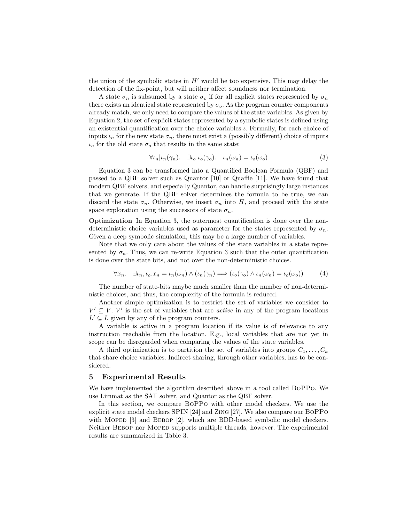the union of the symbolic states in  $H'$  would be too expensive. This may delay the detection of the fix-point, but will neither affect soundness nor termination.

A state  $\sigma_n$  is subsumed by a state  $\sigma_o$  if for all explicit states represented by  $\sigma_n$ there exists an identical state represented by  $\sigma_o$ . As the program counter components already match, we only need to compare the values of the state variables. As given by Equation 2, the set of explicit states represented by a symbolic states is defined using an existential quantification over the choice variables  $\iota$ . Formally, for each choice of inputs  $\iota_n$  for the new state  $\sigma_n$ , there must exist a (possibly different) choice of inputs  $\iota_o$  for the old state  $\sigma_o$  that results in the same state:

$$
\forall \iota_n | \iota_n(\gamma_n). \quad \exists \iota_o | \iota_o(\gamma_o). \quad \iota_n(\omega_n) = \iota_o(\omega_o) \tag{3}
$$

Equation 3 can be transformed into a Quantified Boolean Formula (QBF) and passed to a QBF solver such as Quantor [10] or Quaffle [11]. We have found that modern QBF solvers, and especially Quantor, can handle surprisingly large instances that we generate. If the QBF solver determines the formula to be true, we can discard the state  $\sigma_n$ . Otherwise, we insert  $\sigma_n$  into H, and proceed with the state space exploration using the successors of state  $\sigma_n$ .

Optimization In Equation 3, the outermost quantification is done over the nondeterministic choice variables used as parameter for the states represented by  $\sigma_n$ . Given a deep symbolic simulation, this may be a large number of variables.

Note that we only care about the values of the state variables in a state represented by  $\sigma_n$ . Thus, we can re-write Equation 3 such that the outer quantification is done over the state bits, and not over the non-deterministic choices.

$$
\forall x_n. \quad \exists \iota_n, \iota_o. x_n = \iota_n(\omega_n) \land (\iota_n(\gamma_n) \Longrightarrow (\iota_o(\gamma_o) \land \iota_n(\omega_n) = \iota_o(\omega_o)) \tag{4}
$$

The number of state-bits maybe much smaller than the number of non-deterministic choices, and thus, the complexity of the formula is reduced.

Another simple optimization is to restrict the set of variables we consider to  $V' \subseteq V$ . V' is the set of variables that are *active* in any of the program locations  $L' \subseteq L$  given by any of the program counters.

A variable is active in a program location if its value is of relevance to any instruction reachable from the location. E.g., local variables that are not yet in scope can be disregarded when comparing the values of the state variables.

A third optimization is to partition the set of variables into groups  $C_1, \ldots, C_k$ that share choice variables. Indirect sharing, through other variables, has to be considered.

## 5 Experimental Results

We have implemented the algorithm described above in a tool called BoPPo. We use Limmat as the SAT solver, and Quantor as the QBF solver.

In this section, we compare BoPPo with other model checkers. We use the explicit state model checkers SPIN [24] and Zing [27]. We also compare our BoPPo with MOPED  $[3]$  and BEBOP  $[2]$ , which are BDD-based symbolic model checkers. Neither BEBOP nor MOPED supports multiple threads, however. The experimental results are summarized in Table 3.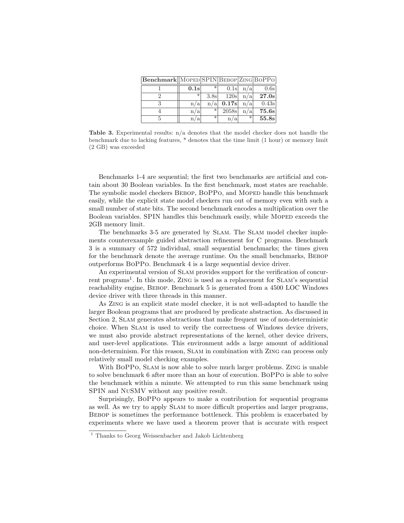| Benchmark MOPED SPIN BEBOP ZING BOPPO |                 |        |       |         |       |
|---------------------------------------|-----------------|--------|-------|---------|-------|
|                                       | 0.1s            | $\ast$ | 0.1s  | n/al    | 0.6s  |
|                                       | $\ast$          | 3.8s   | 120s  | /a<br>n | 27.0s |
|                                       | n/a             | n/a    | 0.17s | n/a     | 0.43s |
|                                       | a<br>$n_{\ell}$ | $\ast$ | 2058s | ά       | 75.6s |
|                                       | n/<br>a         | $\ast$ | `a    | $\ast$  | 55.8s |

**Table 3.** Experimental results:  $n/a$  denotes that the model checker does not handle the benchmark due to lacking features, \* denotes that the time limit (1 hour) or memory limit (2 GB) was exceeded

Benchmarks 1-4 are sequential; the first two benchmarks are artificial and contain about 30 Boolean variables. In the first benchmark, most states are reachable. The symbolic model checkers BEBOP, BOPPO, and MOPED handle this benchmark easily, while the explicit state model checkers run out of memory even with such a small number of state bits. The second benchmark encodes a multiplication over the Boolean variables. SPIN handles this benchmark easily, while MOPED exceeds the 2GB memory limit.

The benchmarks 3-5 are generated by Slam. The Slam model checker implements counterexample guided abstraction refinement for C programs. Benchmark 3 is a summary of 572 individual, small sequential benchmarks; the times given for the benchmark denote the average runtime. On the small benchmarks, Bebop outperforms BoPPo. Benchmark 4 is a large sequential device driver.

An experimental version of Slam provides support for the verification of concurrent programs<sup>1</sup>. In this mode, ZING is used as a replacement for SLAM's sequential reachability engine, Bebop. Benchmark 5 is generated from a 4500 LOC Windows device driver with three threads in this manner.

As Zing is an explicit state model checker, it is not well-adapted to handle the larger Boolean programs that are produced by predicate abstraction. As discussed in Section 2, Slam generates abstractions that make frequent use of non-deterministic choice. When Slam is used to verify the correctness of Windows device drivers, we must also provide abstract representations of the kernel, other device drivers, and user-level applications. This environment adds a large amount of additional non-determinism. For this reason, Slam in combination with Zing can process only relatively small model checking examples.

With BoPPo, SLAM is now able to solve much larger problems. ZING is unable to solve benchmark 6 after more than an hour of execution. BoPPo is able to solve the benchmark within a minute. We attempted to run this same benchmark using SPIN and NuSMV without any positive result.

Surprisingly, BoPPo appears to make a contribution for sequential programs as well. As we try to apply Slam to more difficult properties and larger programs, Bebop is sometimes the performance bottleneck. This problem is exacerbated by experiments where we have used a theorem prover that is accurate with respect

<sup>1</sup> Thanks to Georg Weissenbacher and Jakob Lichtenberg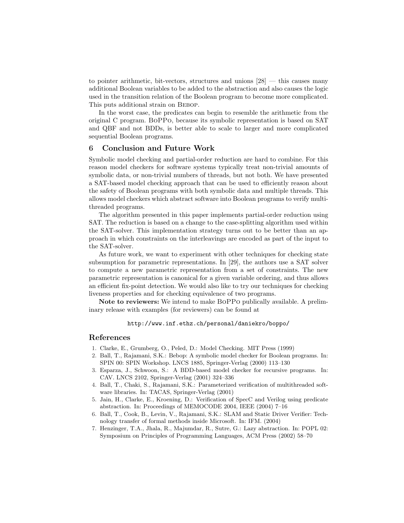to pointer arithmetic, bit-vectors, structures and unions [28] — this causes many additional Boolean variables to be added to the abstraction and also causes the logic used in the transition relation of the Boolean program to become more complicated. This puts additional strain on Bebop.

In the worst case, the predicates can begin to resemble the arithmetic from the original C program. BoPPo, because its symbolic representation is based on SAT and QBF and not BDDs, is better able to scale to larger and more complicated sequential Boolean programs.

# 6 Conclusion and Future Work

Symbolic model checking and partial-order reduction are hard to combine. For this reason model checkers for software systems typically treat non-trivial amounts of symbolic data, or non-trivial numbers of threads, but not both. We have presented a SAT-based model checking approach that can be used to efficiently reason about the safety of Boolean programs with both symbolic data and multiple threads. This allows model checkers which abstract software into Boolean programs to verify multithreaded programs.

The algorithm presented in this paper implements partial-order reduction using SAT. The reduction is based on a change to the case-splitting algorithm used within the SAT-solver. This implementation strategy turns out to be better than an approach in which constraints on the interleavings are encoded as part of the input to the SAT-solver.

As future work, we want to experiment with other techniques for checking state subsumption for parametric representations. In [29], the authors use a SAT solver to compute a new parametric representation from a set of constraints. The new parametric representation is canonical for a given variable ordering, and thus allows an efficient fix-point detection. We would also like to try our techniques for checking liveness properties and for checking equivalence of two programs.

Note to reviewers: We intend to make BoPPo publically available. A preliminary release with examples (for reviewers) can be found at

### http://www.inf.ethz.ch/personal/daniekro/boppo/

#### References

- 1. Clarke, E., Grumberg, O., Peled, D.: Model Checking. MIT Press (1999)
- 2. Ball, T., Rajamani, S.K.: Bebop: A symbolic model checker for Boolean programs. In: SPIN 00: SPIN Workshop. LNCS 1885, Springer-Verlag (2000) 113–130
- 3. Esparza, J., Schwoon, S.: A BDD-based model checker for recursive programs. In: CAV. LNCS 2102, Springer-Verlag (2001) 324–336
- 4. Ball, T., Chaki, S., Rajamani, S.K.: Parameterized verification of multithreaded software libraries. In: TACAS, Springer-Verlag (2001)
- 5. Jain, H., Clarke, E., Kroening, D.: Verification of SpecC and Verilog using predicate abstraction. In: Proceedings of MEMOCODE 2004, IEEE (2004) 7–16
- 6. Ball, T., Cook, B., Levin, V., Rajamani, S.K.: SLAM and Static Driver Verifier: Technology transfer of formal methods inside Microsoft. In: IFM. (2004)
- 7. Henzinger, T.A., Jhala, R., Majumdar, R., Sutre, G.: Lazy abstraction. In: POPL 02: Symposium on Principles of Programming Languages, ACM Press (2002) 58–70